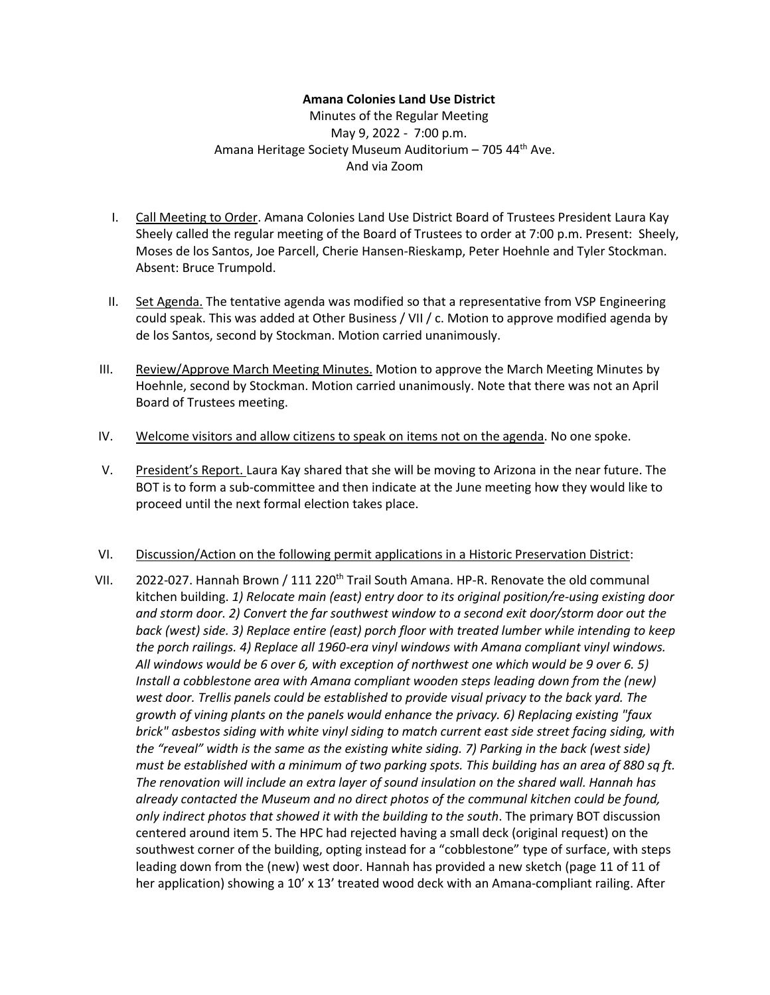## **Amana Colonies Land Use District**

Minutes of the Regular Meeting May 9, 2022 - 7:00 p.m. Amana Heritage Society Museum Auditorium – 705 44th Ave. And via Zoom

- I. Call Meeting to Order. Amana Colonies Land Use District Board of Trustees President Laura Kay Sheely called the regular meeting of the Board of Trustees to order at 7:00 p.m. Present: Sheely, Moses de los Santos, Joe Parcell, Cherie Hansen-Rieskamp, Peter Hoehnle and Tyler Stockman. Absent: Bruce Trumpold.
- II. Set Agenda. The tentative agenda was modified so that a representative from VSP Engineering could speak. This was added at Other Business / VII / c. Motion to approve modified agenda by de los Santos, second by Stockman. Motion carried unanimously.
- III. Review/Approve March Meeting Minutes. Motion to approve the March Meeting Minutes by Hoehnle, second by Stockman. Motion carried unanimously. Note that there was not an April Board of Trustees meeting.
- IV. Welcome visitors and allow citizens to speak on items not on the agenda. No one spoke.
- V. President's Report. Laura Kay shared that she will be moving to Arizona in the near future. The BOT is to form a sub-committee and then indicate at the June meeting how they would like to proceed until the next formal election takes place.

## VI. Discussion/Action on the following permit applications in a Historic Preservation District:

VII. 2022-027. Hannah Brown / 111 220<sup>th</sup> Trail South Amana. HP-R. Renovate the old communal kitchen building. *1) Relocate main (east) entry door to its original position/re-using existing door and storm door. 2) Convert the far southwest window to a second exit door/storm door out the back (west) side. 3) Replace entire (east) porch floor with treated lumber while intending to keep the porch railings. 4) Replace all 1960-era vinyl windows with Amana compliant vinyl windows. All windows would be 6 over 6, with exception of northwest one which would be 9 over 6. 5) Install a cobblestone area with Amana compliant wooden steps leading down from the (new) west door. Trellis panels could be established to provide visual privacy to the back yard. The growth of vining plants on the panels would enhance the privacy. 6) Replacing existing "faux brick" asbestos siding with white vinyl siding to match current east side street facing siding, with the "reveal" width is the same as the existing white siding. 7) Parking in the back (west side) must be established with a minimum of two parking spots. This building has an area of 880 sq ft. The renovation will include an extra layer of sound insulation on the shared wall. Hannah has already contacted the Museum and no direct photos of the communal kitchen could be found, only indirect photos that showed it with the building to the south*. The primary BOT discussion centered around item 5. The HPC had rejected having a small deck (original request) on the southwest corner of the building, opting instead for a "cobblestone" type of surface, with steps leading down from the (new) west door. Hannah has provided a new sketch (page 11 of 11 of her application) showing a 10' x 13' treated wood deck with an Amana-compliant railing. After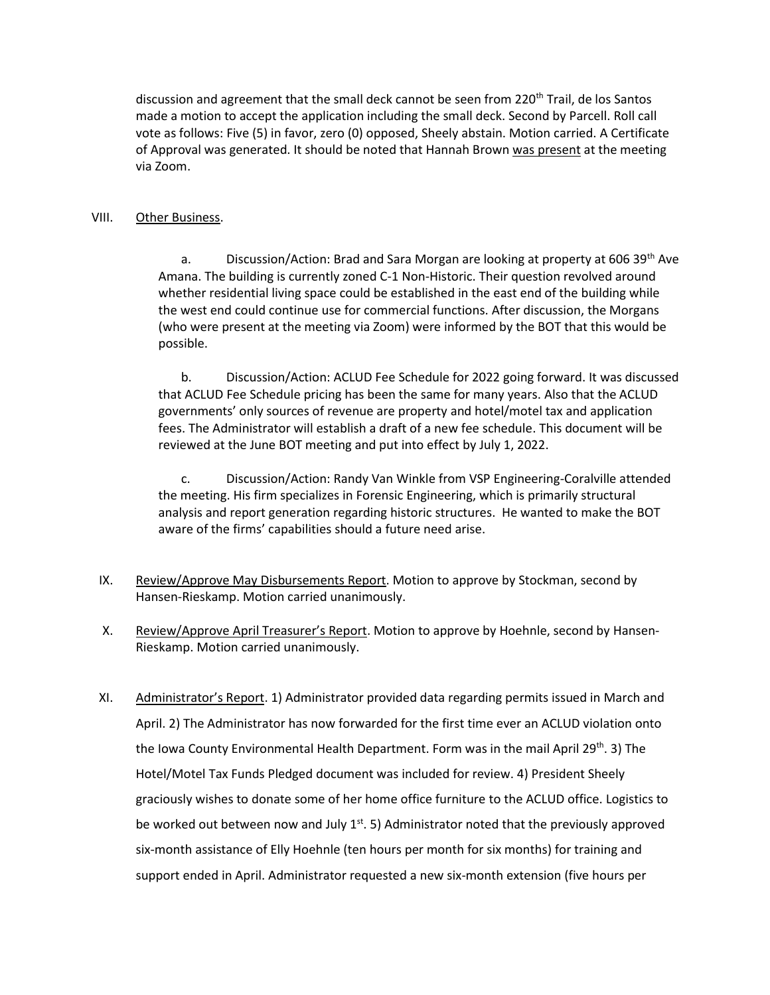discussion and agreement that the small deck cannot be seen from 220<sup>th</sup> Trail, de los Santos made a motion to accept the application including the small deck. Second by Parcell. Roll call vote as follows: Five (5) in favor, zero (0) opposed, Sheely abstain. Motion carried. A Certificate of Approval was generated. It should be noted that Hannah Brown was present at the meeting via Zoom.

## VIII. Other Business.

a. Discussion/Action: Brad and Sara Morgan are looking at property at 606 39<sup>th</sup> Ave Amana. The building is currently zoned C-1 Non-Historic. Their question revolved around whether residential living space could be established in the east end of the building while the west end could continue use for commercial functions. After discussion, the Morgans (who were present at the meeting via Zoom) were informed by the BOT that this would be possible.

b. Discussion/Action: ACLUD Fee Schedule for 2022 going forward. It was discussed that ACLUD Fee Schedule pricing has been the same for many years. Also that the ACLUD governments' only sources of revenue are property and hotel/motel tax and application fees. The Administrator will establish a draft of a new fee schedule. This document will be reviewed at the June BOT meeting and put into effect by July 1, 2022.

c. Discussion/Action: Randy Van Winkle from VSP Engineering-Coralville attended the meeting. His firm specializes in Forensic Engineering, which is primarily structural analysis and report generation regarding historic structures. He wanted to make the BOT aware of the firms' capabilities should a future need arise.

- IX. Review/Approve May Disbursements Report. Motion to approve by Stockman, second by Hansen-Rieskamp. Motion carried unanimously.
- X. Review/Approve April Treasurer's Report. Motion to approve by Hoehnle, second by Hansen-Rieskamp. Motion carried unanimously.
- XI. Administrator's Report. 1) Administrator provided data regarding permits issued in March and April. 2) The Administrator has now forwarded for the first time ever an ACLUD violation onto the Iowa County Environmental Health Department. Form was in the mail April 29<sup>th</sup>. 3) The Hotel/Motel Tax Funds Pledged document was included for review. 4) President Sheely graciously wishes to donate some of her home office furniture to the ACLUD office. Logistics to be worked out between now and July  $1<sup>st</sup>$ . 5) Administrator noted that the previously approved six-month assistance of Elly Hoehnle (ten hours per month for six months) for training and support ended in April. Administrator requested a new six-month extension (five hours per